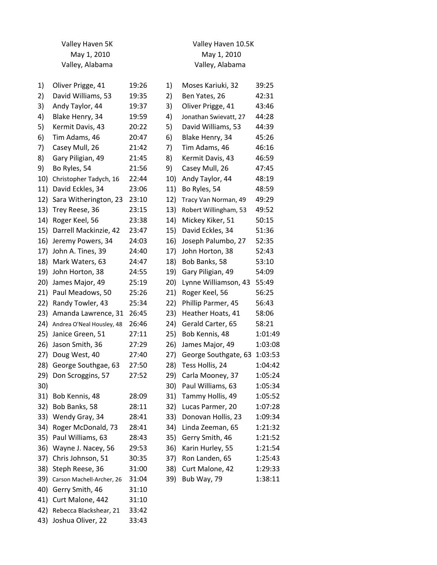| Valley Haven 5K |                           |       | Valley Haven 10.5K |                       |         |  |
|-----------------|---------------------------|-------|--------------------|-----------------------|---------|--|
| May 1, 2010     |                           |       | May 1, 2010        |                       |         |  |
|                 | Valley, Alabama           |       |                    | Valley, Alabama       |         |  |
| 1)              | Oliver Prigge, 41         | 19:26 | 1)                 | Moses Kariuki, 32     | 39:25   |  |
| 2)              | David Williams, 53        | 19:35 | 2)                 | Ben Yates, 26         | 42:31   |  |
| 3)              | Andy Taylor, 44           | 19:37 | 3)                 | Oliver Prigge, 41     | 43:46   |  |
| 4)              | Blake Henry, 34           | 19:59 | 4)                 | Jonathan Swievatt, 27 | 44:28   |  |
| 5)              | Kermit Davis, 43          | 20:22 | 5)                 | David Williams, 53    | 44:39   |  |
| 6)              | Tim Adams, 46             | 20:47 | 6)                 | Blake Henry, 34       | 45:26   |  |
| 7)              | Casey Mull, 26            | 21:42 | 7)                 | Tim Adams, 46         | 46:16   |  |
| 8)              | Gary Piligian, 49         | 21:45 | 8)                 | Kermit Davis, 43      | 46:59   |  |
| 9)              | Bo Ryles, 54              | 21:56 | 9)                 | Casey Mull, 26        | 47:45   |  |
| 10)             | Christopher Tadych, 16    | 22:44 | 10)                | Andy Taylor, 44       | 48:19   |  |
| 11)             | David Eckles, 34          | 23:06 | 11)                | Bo Ryles, 54          | 48:59   |  |
| 12)             | Sara Witherington, 23     | 23:10 | 12)                | Tracy Van Norman, 49  | 49:29   |  |
| 13)             | Trey Reese, 36            | 23:15 | 13)                | Robert Willingham, 53 | 49:52   |  |
| 14)             | Roger Keel, 56            | 23:38 | 14)                | Mickey Kiker, 51      | 50:15   |  |
| 15)             | Darrell Mackinzie, 42     | 23:47 | 15)                | David Eckles, 34      | 51:36   |  |
| 16)             | Jeremy Powers, 34         | 24:03 | 16)                | Joseph Palumbo, 27    | 52:35   |  |
| 17)             | John A. Tines, 39         | 24:40 | 17)                | John Horton, 38       | 52:43   |  |
| 18)             | Mark Waters, 63           | 24:47 | 18)                | Bob Banks, 58         | 53:10   |  |
| 19)             | John Horton, 38           | 24:55 | 19)                | Gary Piligian, 49     | 54:09   |  |
| 20)             | James Major, 49           | 25:19 | 20)                | Lynne Williamson, 43  | 55:49   |  |
| 21)             | Paul Meadows, 50          | 25:26 | 21)                | Roger Keel, 56        | 56:25   |  |
| 22)             | Randy Towler, 43          | 25:34 | 22)                | Phillip Parmer, 45    | 56:43   |  |
| 23)             | Amanda Lawrence, 31       | 26:45 | 23)                | Heather Hoats, 41     | 58:06   |  |
| 24)             | Andrea O'Neal Housley, 48 | 26:46 | 24)                | Gerald Carter, 65     | 58:21   |  |
| 25)             | Janice Green, 51          | 27:11 | 25)                | Bob Kennis, 48        | 1:01:49 |  |
| 26)             | Jason Smith, 36           | 27:29 | 26)                | James Major, 49       | 1:03:08 |  |
| 27)             | Doug West, 40             | 27:40 | 27)                | George Southgate, 63  | 1:03:53 |  |
| 28)             | George Southgae, 63       | 27:50 | 28)                | Tess Hollis, 24       | 1:04:42 |  |
| 29)             | Don Scroggins, 57         | 27:52 | 29)                | Carla Mooney, 37      | 1:05:24 |  |
| 30)             |                           |       | 30)                | Paul Williams, 63     | 1:05:34 |  |
| 31)             | Bob Kennis, 48            | 28:09 | 31)                | Tammy Hollis, 49      | 1:05:52 |  |
| 32)             | Bob Banks, 58             | 28:11 | 32)                | Lucas Parmer, 20      | 1:07:28 |  |
| 33)             | Wendy Gray, 34            | 28:41 | 33)                | Donovan Hollis, 23    | 1:09:34 |  |
| 34)             | Roger McDonald, 73        | 28:41 | 34)                | Linda Zeeman, 65      | 1:21:32 |  |
|                 | 35) Paul Williams, 63     | 28:43 | 35)                | Gerry Smith, 46       | 1:21:52 |  |
| 36)             | Wayne J. Nacey, 56        | 29:53 | 36)                | Karin Hurley, 55      | 1:21:54 |  |
| 37)             | Chris Johnson, 51         | 30:35 | 37)                | Ron Landen, 65        | 1:25:43 |  |
| 38)             | Steph Reese, 36           | 31:00 | 38)                | Curt Malone, 42       | 1:29:33 |  |
| 39)             | Carson Machell-Archer, 26 | 31:04 | 39)                | Bub Way, 79           | 1:38:11 |  |
| 40)             | Gerry Smith, 46           | 31:10 |                    |                       |         |  |
| 41)             | Curt Malone, 442          | 31:10 |                    |                       |         |  |
| 42)             | Rebecca Blackshear, 21    | 33:42 |                    |                       |         |  |

43) Joshua Oliver, 22 33:43